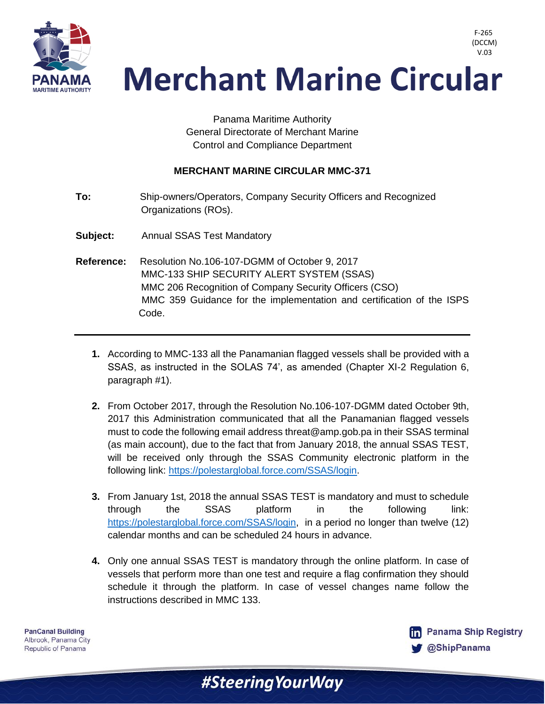

F-265 (DCCM) V.03

## **Merchant Marine Circular**

Panama Maritime Authority General Directorate of Merchant Marine Control and Compliance Department

## **MERCHANT MARINE CIRCULAR MMC-371**

- **To:** Ship-owners/Operators, Company Security Officers and Recognized Organizations (ROs).
- **Subject:** Annual SSAS Test Mandatory
- **Reference:** Resolution No.106-107-DGMM of October 9, 2017 MMC-133 SHIP SECURITY ALERT SYSTEM (SSAS) MMC 206 Recognition of Company Security Officers (CSO) MMC 359 Guidance for the implementation and certification of the ISPS Code.
	- **1.** According to MMC-133 all the Panamanian flagged vessels shall be provided with a SSAS, as instructed in the SOLAS 74', as amended (Chapter XI-2 Regulation 6, paragraph #1).
	- **2.** From October 2017, through the Resolution No.106-107-DGMM dated October 9th, 2017 this Administration communicated that all the Panamanian flagged vessels must to code the following email address threat@amp.gob.pa in their SSAS terminal (as main account), due to the fact that from January 2018, the annual SSAS TEST, will be received only through the SSAS Community electronic platform in the following link: [https://polestarglobal.force.com/SSAS/login.](https://polestarglobal.force.com/SSAS/login)
	- **3.** From January 1st, 2018 the annual SSAS TEST is mandatory and must to schedule through the SSAS platform in the following link: [https://polestarglobal.force.com/SSAS/login,](https://polestarglobal.force.com/SSAS/login) in a period no longer than twelve (12) calendar months and can be scheduled 24 hours in advance.
	- **4.** Only one annual SSAS TEST is mandatory through the online platform. In case of vessels that perform more than one test and require a flag confirmation they should schedule it through the platform. In case of vessel changes name follow the instructions described in MMC 133.

#Steering Your Way

**PanCanal Building** Albrook, Panama City Republic of Panama